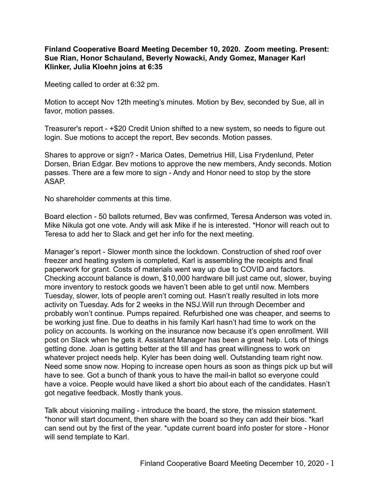**Finland Cooperative Board Meeting December 10, 2020. Zoom meeting. Present: Sue Rian, Honor Schauland, Beverly Nowacki, Andy Gomez, Manager Karl Klinker, Julia Kloehn joins at 6:35**

Meeting called to order at 6:32 pm.

Motion to accept Nov 12th meeting's minutes. Motion by Bev, seconded by Sue, all in favor, motion passes.

Treasurer's report - +\$20 Credit Union shifted to a new system, so needs to figure out login. Sue motions to accept the report, Bev seconds. Motion passes.

Shares to approve or sign? - Marica Oates, Demetrius Hill, Lisa Frydenlund, Peter Dorsen, Brian Edgar. Bev motions to approve the new members, Andy seconds. Motion passes. There are a few more to sign - Andy and Honor need to stop by the store ASAP.

No shareholder comments at this time.

Board election - 50 ballots returned, Bev was confirmed, Teresa Anderson was voted in. Mike Nikula got one vote. Andy will ask Mike if he is interested. \*Honor will reach out to Teresa to add her to Slack and get her info for the next meeting.

Manager's report - Slower month since the lockdown. Construction of shed roof over freezer and heating system is completed, Karl is assembling the receipts and final paperwork for grant. Costs of materials went way up due to COVID and factors. Checking account balance is down, \$10,000 hardware bill just came out, slower, buying more inventory to restock goods we haven't been able to get until now. Members Tuesday, slower, lots of people aren't coming out. Hasn't really resulted in lots more activity on Tuesday. Ads for 2 weeks in the NSJ.Will run through December and probably won't continue. Pumps repaired. Refurbished one was cheaper, and seems to be working just fine. Due to deaths in his family Karl hasn't had time to work on the policy on accounts. Is working on the insurance now because it's open enrollment. Will post on Slack when he gets it. Assistant Manager has been a great help. Lots of things getting done. Joan is getting better at the till and has great willingness to work on whatever project needs help. Kyler has been doing well. Outstanding team right now. Need some snow now. Hoping to increase open hours as soon as things pick up but will have to see. Got a bunch of thank yous to have the mail-in ballot so everyone could have a voice. People would have liked a short bio about each of the candidates. Hasn't got negative feedback. Mostly thank yous.

Talk about visioning mailing - introduce the board, the store, the mission statement. \*honor will start document, then share with the board so they can add their bios. \*karl can send out by the first of the year. \*update current board info poster for store - Honor will send template to Karl.